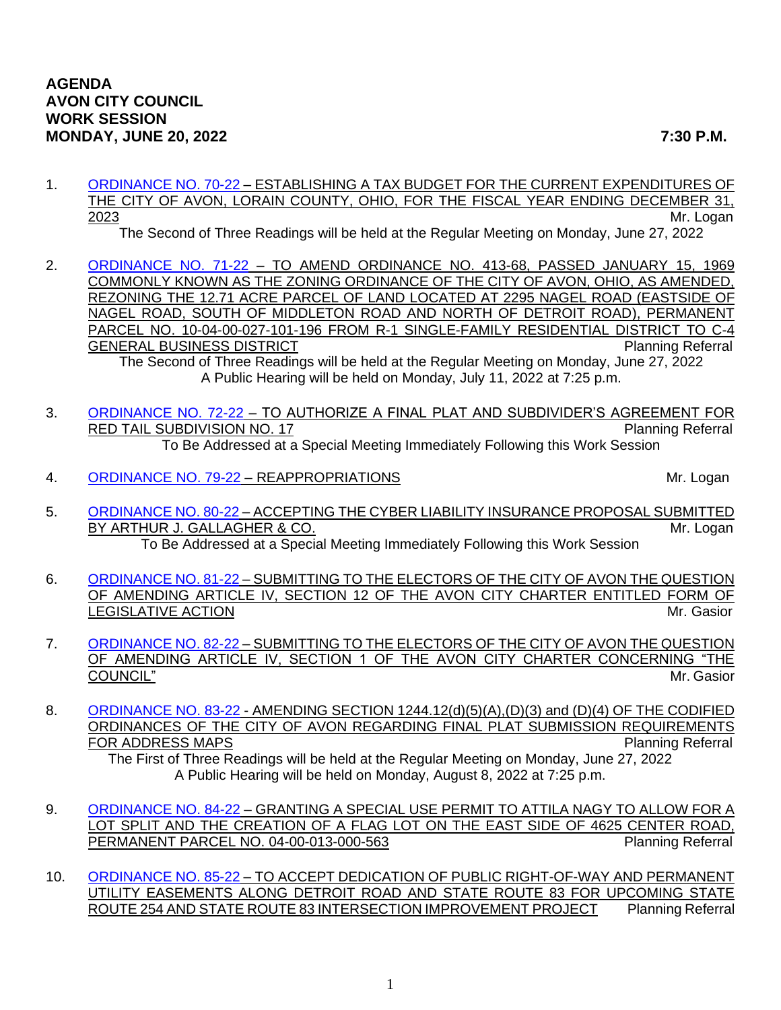1. [ORDINANCE NO. 70-22](https://www.cityofavon.com/DocumentCenter/View/7865/Ordinance-No-70-22---Tax-Budget-for-2023) – ESTABLISHING A TAX BUDGET FOR THE CURRENT EXPENDITURES OF THE CITY OF AVON, LORAIN COUNTY, OHIO, FOR THE FISCAL YEAR ENDING DECEMBER 31, 2023 Mr. Logan

The Second of Three Readings will be held at the Regular Meeting on Monday, June 27, 2022

2. [ORDINANCE NO. 71-22](https://www.cityofavon.com/DocumentCenter/View/7875/Ordinance-No-71-22----Rezoning---Isomer---Drug-Mart) – TO AMEND ORDINANCE NO. 413-68, PASSED JANUARY 15, 1969 COMMONLY KNOWN AS THE ZONING ORDINANCE OF THE CITY OF AVON, OHIO, AS AMENDED, REZONING THE 12.71 ACRE PARCEL OF LAND LOCATED AT 2295 NAGEL ROAD (EASTSIDE OF NAGEL ROAD, SOUTH OF MIDDLETON ROAD AND NORTH OF DETROIT ROAD), PERMANENT PARCEL NO. 10-04-00-027-101-196 FROM R-1 SINGLE-FAMILY RESIDENTIAL DISTRICT TO C-4 GENERAL BUSINESS DISTRICT **Planning Referral** Planning Referral The Second of Three Readings will be held at the Regular Meeting on Monday, June 27, 2022

A Public Hearing will be held on Monday, July 11, 2022 at 7:25 p.m.

- 3. [ORDINANCE NO. 72-22](https://www.cityofavon.com/DocumentCenter/View/7868/Ordinance-No-72-22-Red-Tail-No-17---SDA--PB) TO AUTHORIZE A FINAL PLAT AND SUBDIVIDER'S AGREEMENT FOR RED TAIL SUBDIVISION NO. 17 **Planning Referral** To Be Addressed at a Special Meeting Immediately Following this Work Session
- 4. [ORDINANCE NO. 79-22](https://www.cityofavon.com/DocumentCenter/View/7910/Ordinance-No-79-22---Reappropriations) REAPPROPRIATIONS And the state of the state of the Mr. Logan

- 5. [ORDINANCE NO. 80-22](https://www.cityofavon.com/DocumentCenter/View/7924/Ordinance-No-80-22-Gallagher---Cyber-Liability) ACCEPTING THE CYBER LIABILITY INSURANCE PROPOSAL SUBMITTED BY ARTHUR J. GALLAGHER & CO. New York CO. And the Contract of the Contract of the Mr. Logan To Be Addressed at a Special Meeting Immediately Following this Work Session
- 6. [ORDINANCE NO. 81-22](https://www.cityofavon.com/DocumentCenter/View/7919/Ordinance-No-81-22---Article-IV-Section-12---Posting-Places) SUBMITTING TO THE ELECTORS OF THE CITY OF AVON THE QUESTION OF AMENDING ARTICLE IV, SECTION 12 OF THE AVON CITY CHARTER ENTITLED FORM OF LEGISLATIVE ACTION **Mr. Gasior** Mr. Gasior
- 7. [ORDINANCE NO. 82-22](https://www.cityofavon.com/DocumentCenter/View/7925/Ordinance-No-82-22---Article-IV-Section-1-Council-jag2-4-28-22) SUBMITTING TO THE ELECTORS OF THE CITY OF AVON THE QUESTION OF AMENDING ARTICLE IV, SECTION 1 OF THE AVON CITY CHARTER CONCERNING "THE **COUNCIL"** Mr. Gasior
- 8. [ORDINANCE NO. 83-22](https://www.cityofavon.com/DocumentCenter/View/7918/Ordinance-No-83-22---Amend-124412d5) AMENDING SECTION 1244.12(d)(5)(A),(D)(3) and (D)(4) OF THE CODIFIED ORDINANCES OF THE CITY OF AVON REGARDING FINAL PLAT SUBMISSION REQUIREMENTS FOR ADDRESS MAPS **Planning Referral** The First of Three Readings will be held at the Regular Meeting on Monday, June 27, 2022 A Public Hearing will be held on Monday, August 8, 2022 at 7:25 p.m.
- 9. [ORDINANCE NO. 84-22](https://www.cityofavon.com/DocumentCenter/View/7926/Ordinance-No-84-22---Nagy-SUP---Flag-Lot) GRANTING A SPECIAL USE PERMIT TO ATTILA NAGY TO ALLOW FOR A LOT SPLIT AND THE CREATION OF A FLAG LOT ON THE EAST SIDE OF 4625 CENTER ROAD, PERMANENT PARCEL NO. 04-00-013-000-563 PERMANENT PARCEL NO. 04-00-013-000-563
- 10. [ORDINANCE NO. 85-22](https://www.cityofavon.com/DocumentCenter/View/7931/Ordinance-No-85-22-Dedication---Easement---Detroit--Rt-83) TO ACCEPT DEDICATION OF PUBLIC RIGHT-OF-WAY AND PERMANENT UTILITY EASEMENTS ALONG DETROIT ROAD AND STATE ROUTE 83 FOR UPCOMING STATE ROUTE 254 AND STATE ROUTE 83 INTERSECTION IMPROVEMENT PROJECT Planning Referral